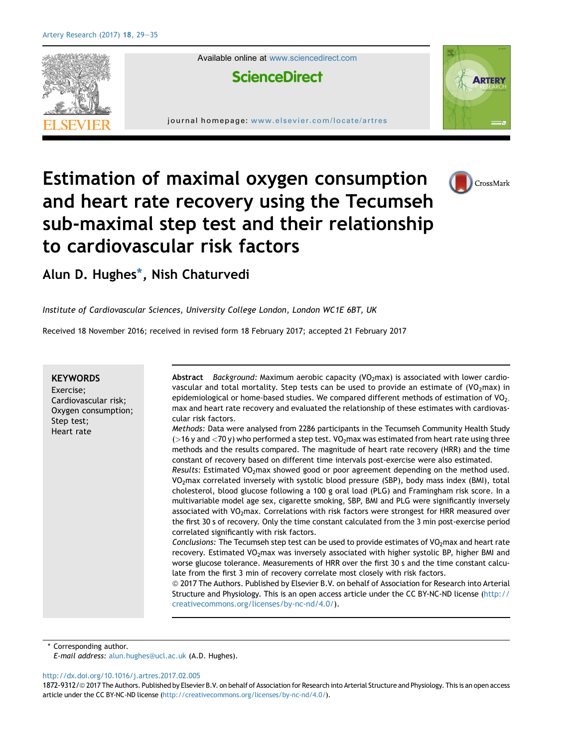

Available online at [www.sciencedirect.com](www.sciencedirect.com/science/journal/18729312)

# **ScienceDirect**

journal homepage: [www.elsevier.com/locate/artres](http://www.elsevier.com/locate/artres)



CrossMark

# Estimation of maximal oxygen consumption and heart rate recovery using the Tecumseh sub-maximal step test and their relationship to cardiovascular risk factors

Alun D. Hughes\*, Nish Chaturvedi

Institute of Cardiovascular Sciences, University College London, London WC1E 6BT, UK

Received 18 November 2016; received in revised form 18 February 2017; accepted 21 February 2017

#### **KEYWORDS**

Exercise; Cardiovascular risk; Oxygen consumption; Step test; Heart rate

Abstract Background: Maximum aerobic capacity  $(VO_2$ max) is associated with lower cardiovascular and total mortality. Step tests can be used to provide an estimate of  $(VO_2\text{max})$  in epidemiological or home-based studies. We compared different methods of estimation of  $VO<sub>2</sub>$ . max and heart rate recovery and evaluated the relationship of these estimates with cardiovascular risk factors.

Methods: Data were analysed from 2286 participants in the Tecumseh Community Health Study ( $>16$  y and  $<$ 70 y) who performed a step test. VO<sub>2</sub>max was estimated from heart rate using three methods and the results compared. The magnitude of heart rate recovery (HRR) and the time constant of recovery based on different time intervals post-exercise were also estimated.

Results: Estimated VO<sub>2</sub>max showed good or poor agreement depending on the method used. VO2max correlated inversely with systolic blood pressure (SBP), body mass index (BMI), total cholesterol, blood glucose following a 100 g oral load (PLG) and Framingham risk score. In a multivariable model age sex, cigarette smoking, SBP, BMI and PLG were significantly inversely associated with VO<sub>2</sub>max. Correlations with risk factors were strongest for HRR measured over the first 30 s of recovery. Only the time constant calculated from the 3 min post-exercise period correlated significantly with risk factors.

Conclusions: The Tecumseh step test can be used to provide estimates of  $VO<sub>2</sub>$ max and heart rate recovery. Estimated VO<sub>2</sub>max was inversely associated with higher systolic BP, higher BMI and worse glucose tolerance. Measurements of HRR over the first 30 s and the time constant calculate from the first 3 min of recovery correlate most closely with risk factors.

 $@$  2017 The Authors. Published by Elsevier B.V. on behalf of Association for Research into Arterial Structure and Physiology. This is an open access article under the CC BY-NC-ND license ([http://](http://creativecommons.org/licenses/by-nc-nd/4.0/) [creativecommons.org/licenses/by-nc-nd/4.0/\)](http://creativecommons.org/licenses/by-nc-nd/4.0/).

Corresponding author.

E-mail address: [alun.hughes@ucl.ac.uk](mailto:alun.hughes@ucl.ac.uk) (A.D. Hughes).

<http://dx.doi.org/10.1016/j.artres.2017.02.005>

1872-9312/© 2017 The Authors. Published by Elsevier B.V. on behalf of Association for Research into Arterial Structure and Physiology. This is an open access article under the CC BY-NC-ND license ([http://creativecommons.org/licenses/by-nc-nd/4.0/\)](http://creativecommons.org/licenses/by-nc-nd/4.0/).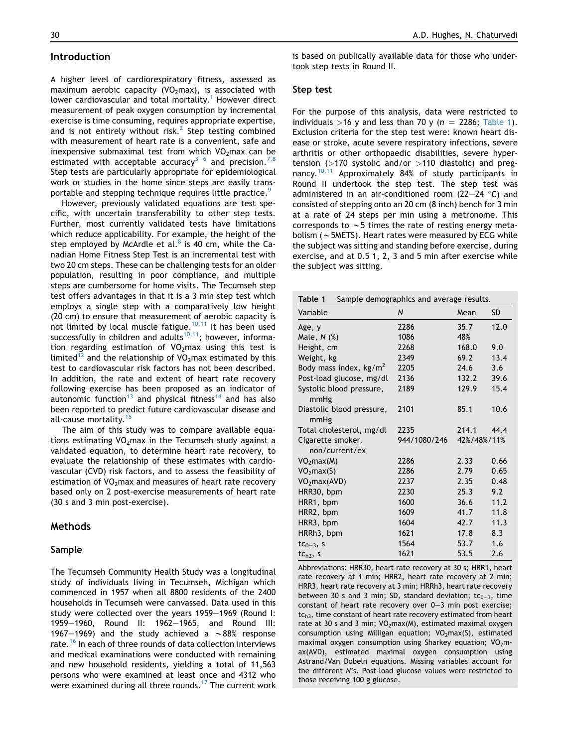# <span id="page-1-0"></span>Introduction

A higher level of cardiorespiratory fitness, assessed as maximum aerobic capacity ( $VO<sub>2</sub>$ max), is associated with lower cardiovascular and total mortality.<sup>[1](#page-6-0)</sup> However direct measurement of peak oxygen consumption by incremental exercise is time consuming, requires appropriate expertise, and is not entirely without risk.<sup>[2](#page-6-0)</sup> Step testing combined with measurement of heart rate is a convenient, safe and inexpensive submaximal test from which  $VO<sub>2</sub>$ max can be estimated with acceptable accuracy<sup>3-[6](#page-6-0)</sup> and precision.<sup>[7,8](#page-6-0)</sup> Step tests are particularly appropriate for epidemiological work or studies in the home since steps are easily trans-portable and stepping technique requires little practice.<sup>[9](#page-6-0)</sup>

However, previously validated equations are test specific, with uncertain transferability to other step tests. Further, most currently validated tests have limitations which reduce applicability. For example, the height of the step employed by McArdle et al. $8$  is 40 cm, while the Canadian Home Fitness Step Test is an incremental test with two 20 cm steps. These can be challenging tests for an older population, resulting in poor compliance, and multiple steps are cumbersome for home visits. The Tecumseh step test offers advantages in that it is a 3 min step test which employs a single step with a comparatively low height (20 cm) to ensure that measurement of aerobic capacity is not limited by local muscle fatigue.<sup>10,11</sup> It has been used successfully in children and adults<sup>[10,11](#page-6-0)</sup>; however, information regarding estimation of  $VO<sub>2</sub>$ max using this test is limited<sup>12</sup> and the relationship of VO<sub>2</sub>max estimated by this test to cardiovascular risk factors has not been described. In addition, the rate and extent of heart rate recovery following exercise has been proposed as an indicator of autonomic function<sup>[13](#page-6-0)</sup> and physical fitness<sup>[14](#page-6-0)</sup> and has also been reported to predict future cardiovascular disease and all-cause mortality.<sup>[15](#page-6-0)</sup>

The aim of this study was to compare available equations estimating  $VO<sub>2</sub>$ max in the Tecumseh study against a validated equation, to determine heart rate recovery, to evaluate the relationship of these estimates with cardiovascular (CVD) risk factors, and to assess the feasibility of estimation of  $VO<sub>2</sub>$ max and measures of heart rate recovery based only on 2 post-exercise measurements of heart rate (30 s and 3 min post-exercise).

#### Methods

#### Sample

The Tecumseh Community Health Study was a longitudinal study of individuals living in Tecumseh, Michigan which commenced in 1957 when all 8800 residents of the 2400 households in Tecumseh were canvassed. Data used in this study were collected over the years 1959-1969 (Round I: 1959-1960, Round II: 1962-1965, and Round III: 1967-1969) and the study achieved a  $\sim$ 88% response rate.<sup>[16](#page-6-0)</sup> In each of three rounds of data collection interviews and medical examinations were conducted with remaining and new household residents, yielding a total of 11,563 persons who were examined at least once and 4312 who were examined during all three rounds.<sup>[17](#page-6-0)</sup> The current work

is based on publically available data for those who undertook step tests in Round II.

#### Step test

For the purpose of this analysis, data were restricted to individuals >16 y and less than 70 y ( $n = 2286$ ; Table 1). Exclusion criteria for the step test were: known heart disease or stroke, acute severe respiratory infections, severe arthritis or other orthopaedic disabilities, severe hypertension ( $>170$  systolic and/or  $>110$  diastolic) and pregnancy.[10,11](#page-6-0) Approximately 84% of study participants in Round II undertook the step test. The step test was administered in an air-conditioned room (22-24  $\degree$ C) and consisted of stepping onto an 20 cm (8 inch) bench for 3 min at a rate of 24 steps per min using a metronome. This corresponds to  $\sim$  5 times the rate of resting energy metabolism ( $\sim$  5METS). Heart rates were measured by ECG while the subject was sitting and standing before exercise, during exercise, and at 0.5 1, 2, 3 and 5 min after exercise while the subject was sitting.

| Sample demographics and average results.<br>Table 1 |              |             |           |  |  |  |
|-----------------------------------------------------|--------------|-------------|-----------|--|--|--|
| Variable                                            | N            | Mean        | <b>SD</b> |  |  |  |
| Age, y                                              | 2286         | 35.7        | 12.0      |  |  |  |
| Male, $N$ $(\%)$                                    | 1086         | 48%         |           |  |  |  |
| Height, cm                                          | 2268         | 168.0       | 9.0       |  |  |  |
| Weight, kg                                          | 2349         | 69.2        | 13.4      |  |  |  |
| Body mass index, $kg/m2$                            | 2205         | 24.6        | 3.6       |  |  |  |
| Post-load glucose, mg/dl                            | 2136         | 132.2       | 39.6      |  |  |  |
| Systolic blood pressure,                            | 2189         | 129.9       | 15.4      |  |  |  |
| mmHg                                                |              |             |           |  |  |  |
| Diastolic blood pressure,<br>mmHg                   | 2101         | 85.1        | 10.6      |  |  |  |
| Total cholesterol, mg/dl                            | 2235         | 214.1       | 44.4      |  |  |  |
| Cigarette smoker,                                   | 944/1080/246 | 42%/48%/11% |           |  |  |  |
| non/current/ex                                      |              |             |           |  |  |  |
| VO <sub>2</sub> max(M)                              | 2286         | 2.33        | 0.66      |  |  |  |
| VO <sub>2</sub> max(S)                              | 2286         | 2.79        | 0.65      |  |  |  |
| VO <sub>2</sub> max(AVD)                            | 2237         | 2.35        | 0.48      |  |  |  |
| HRR30, bpm                                          | 2230         | 25.3        | 9.2       |  |  |  |
| HRR1, bpm                                           | 1600         | 36.6        | 11.2      |  |  |  |
| HRR2, bpm                                           | 1609         | 41.7        | 11.8      |  |  |  |
| HRR3, bpm                                           | 1604         | 42.7        | 11.3      |  |  |  |
| HRRh3, bpm                                          | 1621         | 17.8        | 8.3       |  |  |  |
| $tc0-3$ , s                                         | 1564         | 53.7        | 1.6       |  |  |  |
| tc <sub>h3</sub> , s                                | 1621         | 53.5        | 2.6       |  |  |  |

Abbreviations: HRR30, heart rate recovery at 30 s; HRR1, heart rate recovery at 1 min; HRR2, heart rate recovery at 2 min; HRR3, heart rate recovery at 3 min; HRRh3, heart rate recovery between 30 s and 3 min; SD, standard deviation;  $tc<sub>0-3</sub>$ , time constant of heart rate recovery over  $0-3$  min post exercise; tc<sub>h3</sub>, time constant of heart rate recovery estimated from heart rate at 30 s and 3 min;  $VO<sub>2</sub>max(M)$ , estimated maximal oxygen consumption using Milligan equation; VO<sub>2</sub>max(S), estimated maximal oxygen consumption using Sharkey equation;  $VO<sub>2</sub>m$ ax(AVD), estimated maximal oxygen consumption using Astrand/Van Dobeln equations. Missing variables account for the different N's. Post-load glucose values were restricted to those receiving 100 g glucose.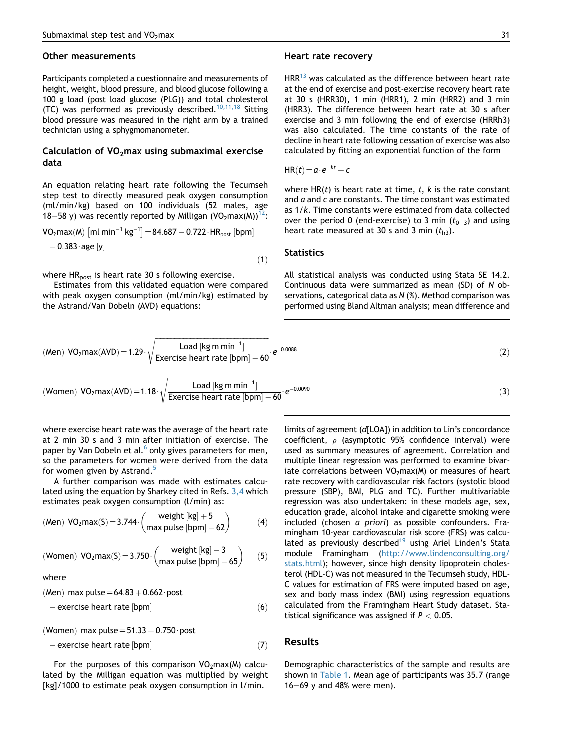#### Other measurements

Participants completed a questionnaire and measurements of height, weight, blood pressure, and blood glucose following a 100 g load (post load glucose (PLG)) and total cholesterol (TC) was performed as previously described.<sup>[10,11,18](#page-6-0)</sup> Sitting blood pressure was measured in the right arm by a trained technician using a sphygmomanometer.

# Calculation of  $VO<sub>2</sub>$ max using submaximal exercise data

An equation relating heart rate following the Tecumseh step test to directly measured peak oxygen consumption (ml/min/kg) based on 100 individuals (52 males, age 18–58 y) was recently reported by Milligan (VO<sub>2</sub>max(M))<sup>[12](#page-6-0)</sup>:

$$
VO_{2}max(M) [ml min^{-1} kg^{-1}] = 84.687 - 0.722 \cdot HR_{post} [bpm] - 0.383 \cdot age [y]
$$

where  $HR_{post}$  is heart rate 30 s following exercise.

Estimates from this validated equation were compared with peak oxygen consumption (ml/min/kg) estimated by the Astrand/Van Dobeln (AVD) equations:

#### Heart rate recovery

 $HRR^{13}$  $HRR^{13}$  $HRR^{13}$  was calculated as the difference between heart rate at the end of exercise and post-exercise recovery heart rate at 30 s (HRR30), 1 min (HRR1), 2 min (HRR2) and 3 min (HRR3). The difference between heart rate at 30 s after exercise and 3 min following the end of exercise (HRRh3) was also calculated. The time constants of the rate of decline in heart rate following cessation of exercise was also calculated by fitting an exponential function of the form

$$
HR(t) = a \cdot e^{-kt} + c
$$

where  $HR(t)$  is heart rate at time, t, k is the rate constant and  $a$  and  $c$  are constants. The time constant was estimated as 1/k. Time constants were estimated from data collected over the period 0 (end-exercise) to 3 min  $(t_{0-3})$  and using heart rate measured at 30 s and 3 min  $(t_{h3})$ .

#### **Statistics**

All statistical analysis was conducted using Stata SE 14.2. Continuous data were summarized as mean (SD) of N observations, categorical data as N (%). Method comparison was performed using Bland Altman analysis; mean difference and

(Men) VO<sub>2</sub>max(AVD) = 1.29 · 
$$
\sqrt{\frac{\text{Load [kg m min}^{-1}]}{\text{Exercise heart rate [bpm]} - 60}} \cdot e^{-0.0088}
$$
 (2)  
\n(Women) VO<sub>2</sub>max(AVD) = 1.18 ·  $\sqrt{\frac{\text{Load [kg m min}^{-1}]}{\text{Exercise heart rate [bpm]} - 60}} \cdot e^{-0.0090}$  (3)

 $(1)$ 

where exercise heart rate was the average of the heart rate at 2 min 30 s and 3 min after initiation of exercise. The paper by Van Dobeln et al. $^6$  $^6$  only gives parameters for men, so the parameters for women were derived from the data for women given by Astrand.<sup>[5](#page-6-0)</sup>

A further comparison was made with estimates calculated using the equation by Sharkey cited in Refs. [3,4](#page-6-0) which estimates peak oxygen consumption (l/min) as:

$$
(\text{Men})\ \text{VO}_2\text{max}(S) = 3.744 \cdot \left(\frac{\text{weight [kg]} + 5}{\text{max pulse [bpm]} - 62}\right) \tag{4}
$$

$$
\text{(Women)}\ \ \text{VO}_2\text{max}(S) = 3.750 \cdot \left(\frac{\text{weight [kg]}-3}{\text{max pulse [bpm]}-65}\right) \tag{5}
$$

where

(Men) max pulse $=64.83 + 0.662$  post

$$
-\text{exercise heart rate [bpm]} \tag{6}
$$

(Women) max pulse $=51.33 + 0.750$  post

 $-$  exercise heart rate  $|bpm|$  (7)

For the purposes of this comparison  $VO<sub>2</sub>max(M)$  calculated by the Milligan equation was multiplied by weight [kg]/1000 to estimate peak oxygen consumption in l/min.

limits of agreement (d[LOA]) in addition to Lin's concordance coefficient,  $\rho$  (asymptotic 95% confidence interval) were used as summary measures of agreement. Correlation and multiple linear regression was performed to examine bivariate correlations between  $VO<sub>2</sub>max(M)$  or measures of heart rate recovery with cardiovascular risk factors (systolic blood pressure (SBP), BMI, PLG and TC). Further multivariable regression was also undertaken: in these models age, sex, education grade, alcohol intake and cigarette smoking were included (chosen a priori) as possible confounders. Framingham 10-year cardiovascular risk score (FRS) was calcu-lated as previously described<sup>[19](#page-6-0)</sup> using Ariel Linden's Stata module Framingham [\(http://www.lindenconsulting.org/](http://www.lindenconsulting.org/stats.html) [stats.html](http://www.lindenconsulting.org/stats.html)); however, since high density lipoprotein cholesterol (HDL-C) was not measured in the Tecumseh study, HDL-C values for estimation of FRS were imputed based on age, sex and body mass index (BMI) using regression equations calculated from the Framingham Heart Study dataset. Statistical significance was assigned if  $P < 0.05$ .

#### Results

Demographic characteristics of the sample and results are shown in [Table 1.](#page-1-0) Mean age of participants was 35.7 (range  $16-69$  y and 48% were men).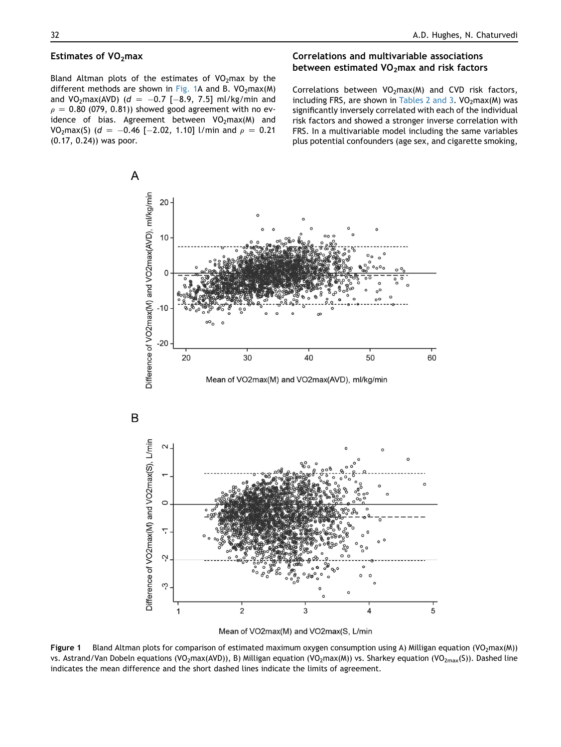#### Estimates of  $VO<sub>2</sub>$ max

Bland Altman plots of the estimates of  $VO<sub>2</sub>$ max by the different methods are shown in Fig. 1A and B.  $VO<sub>2</sub>max(M)$ and VO<sub>2</sub>max(AVD) ( $d = -0.7$  [-8.9, 7.5] ml/kg/min and  $\rho = 0.80$  (079, 0.81)) showed good agreement with no evidence of bias. Agreement between  $VO<sub>2</sub>max(M)$  and VO<sub>2</sub>max(S) (d = -0.46 [-2.02, 1.10] l/min and  $\rho = 0.21$ (0.17, 0.24)) was poor.

# Correlations and multivariable associations between estimated  $VO<sub>2</sub>$ max and risk factors

Correlations between  $VO<sub>2</sub>max(M)$  and CVD risk factors, including FRS, are shown in [Tables 2 and 3.](#page-4-0)  $VO<sub>2</sub>max(M)$  was significantly inversely correlated with each of the individual risk factors and showed a stronger inverse correlation with FRS. In a multivariable model including the same variables plus potential confounders (age sex, and cigarette smoking,



Mean of VO2max(M) and VO2max(S, L/min

Figure 1 Bland Altman plots for comparison of estimated maximum oxygen consumption using A) Milligan equation (VO<sub>2</sub>max(M)) vs. Astrand/Van Dobeln equations (VO<sub>2</sub>max(AVD)), B) Milligan equation (VO<sub>2</sub>max(M)) vs. Sharkey equation (VO<sub>2max</sub>(S)). Dashed line indicates the mean difference and the short dashed lines indicate the limits of agreement.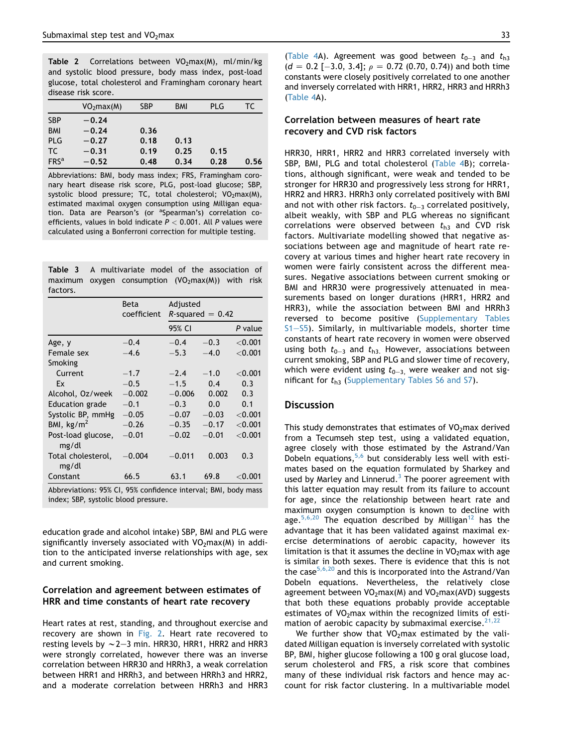<span id="page-4-0"></span>Table 2 Correlations between  $VO<sub>2</sub>max(M)$ , ml/min/kg and systolic blood pressure, body mass index, post-load glucose, total cholesterol and Framingham coronary heart disease risk score.

|                  | VO <sub>2</sub> max(M) | <b>SBP</b> | <b>BMI</b> | PLG  | TC   |
|------------------|------------------------|------------|------------|------|------|
| <b>SBP</b>       | $-0.24$                |            |            |      |      |
| <b>BMI</b>       | $-0.24$                | 0.36       |            |      |      |
| <b>PLG</b>       | $-0.27$                | 0.18       | 0.13       |      |      |
| TC.              | $-0.31$                | 0.19       | 0.25       | 0.15 |      |
| FRS <sup>a</sup> | $-0.52$                | 0.48       | 0.34       | 0.28 | 0.56 |

Abbreviations: BMI, body mass index; FRS, Framingham coronary heart disease risk score, PLG, post-load glucose; SBP, systolic blood pressure; TC, total cholesterol;  $VO<sub>2</sub>max(M)$ , estimated maximal oxygen consumption using Milligan equation. Data are Pearson's (or <sup>a</sup>Spearman's) correlation coefficients, values in bold indicate  $P < 0.001$ . All P values were calculated using a Bonferroni correction for multiple testing.

| <b>Table 3</b> A multivariate model of the association of |  |  |  |  |
|-----------------------------------------------------------|--|--|--|--|
| maximum oxygen consumption $(VO2max(M))$ with risk        |  |  |  |  |
| factors.                                                  |  |  |  |  |

|                                                                                                        | Beta<br>coefficient | Adjusted | $R$ -squared = 0.42 |            |  |  |
|--------------------------------------------------------------------------------------------------------|---------------------|----------|---------------------|------------|--|--|
|                                                                                                        |                     | 95% CI   |                     | P value    |  |  |
| Age, y                                                                                                 | $-0.4$              | $-0.4$   | $-0.3$              | ${<}0.001$ |  |  |
| Female sex                                                                                             | $-4.6$              | $-5.3$   | $-4.0$              | ${<}0.001$ |  |  |
| Smoking                                                                                                |                     |          |                     |            |  |  |
| Current                                                                                                | $-1.7$              | $-2.4$   | $-1.0$              | ${<}0.001$ |  |  |
| Ex                                                                                                     | $-0.5$              | $-1.5$   | 0.4                 | 0.3        |  |  |
| Alcohol, Oz/week                                                                                       | $-0.002$            | $-0.006$ | 0.002               | 0.3        |  |  |
| <b>Education grade</b>                                                                                 | $-0.1$              | $-0.3$   | 0.0                 | 0.1        |  |  |
| Systolic BP, mmHg                                                                                      | $-0.05$             | $-0.07$  | $-0.03$             | ${<}0.001$ |  |  |
| BMI, $\text{kg/m}^2$                                                                                   | $-0.26$             | $-0.35$  | $-0.17$             | ${<}0.001$ |  |  |
| Post-load glucose,<br>mg/dl                                                                            | $-0.01$             | $-0.02$  | $-0.01$             | ${<}0.001$ |  |  |
| Total cholesterol,<br>mg/dl                                                                            | $-0.004$            | $-0.011$ | 0.003               | 0.3        |  |  |
| Constant                                                                                               | 66.5                | 63.1     | 69.8                | ${<}0.001$ |  |  |
| Abbreviations: 95% CI, 95% confidence interval; BMI, body mass<br>index; SBP, systolic blood pressure. |                     |          |                     |            |  |  |

education grade and alcohol intake) SBP, BMI and PLG were significantly inversely associated with  $VO<sub>2</sub>max(M)$  in addition to the anticipated inverse relationships with age, sex and current smoking.

#### Correlation and agreement between estimates of HRR and time constants of heart rate recovery

Heart rates at rest, standing, and throughout exercise and recovery are shown in [Fig. 2](#page-5-0). Heart rate recovered to resting levels by  $\sim$  2–3 min. HRR30, HRR1, HRR2 and HRR3 were strongly correlated, however there was an inverse correlation between HRR30 and HRRh3, a weak correlation between HRR1 and HRRh3, and between HRRh3 and HRR2, and a moderate correlation between HRRh3 and HRR3 ([Table 4A](#page-5-0)). Agreement was good between  $t_{0-3}$  and  $t_{h3}$  $(d = 0.2$  [-3.0, 3.4];  $\rho = 0.72$  (0.70, 0.74)) and both time constants were closely positively correlated to one another and inversely correlated with HRR1, HRR2, HRR3 and HRRh3 ([Table 4](#page-5-0)A).

# Correlation between measures of heart rate recovery and CVD risk factors

HRR30, HRR1, HRR2 and HRR3 correlated inversely with SBP, BMI, PLG and total cholesterol ([Table 4](#page-5-0)B); correlations, although significant, were weak and tended to be stronger for HRR30 and progressively less strong for HRR1, HRR2 and HRR3. HRRh3 only correlated positively with BMI and not with other risk factors.  $t_{0-3}$  correlated positively, albeit weakly, with SBP and PLG whereas no significant correlations were observed between  $t_{h3}$  and CVD risk factors. Multivariate modelling showed that negative associations between age and magnitude of heart rate recovery at various times and higher heart rate recovery in women were fairly consistent across the different measures. Negative associations between current smoking or BMI and HRR30 were progressively attenuated in measurements based on longer durations (HRR1, HRR2 and HRR3), while the association between BMI and HRRh3 reversed to become positive (Supplementary Tables  $S1-55$ ). Similarly, in multivariable models, shorter time constants of heart rate recovery in women were observed using both  $t_{0-3}$  and  $t_{h3}$ . However, associations between current smoking, SBP and PLG and slower time of recovery, which were evident using  $t_{0-3}$ , were weaker and not significant for  $t_{h3}$  (Supplementary Tables S6 and S7).

# **Discussion**

This study demonstrates that estimates of  $VO<sub>2</sub>$ max derived from a Tecumseh step test, using a validated equation, agree closely with those estimated by the Astrand/Van Dobeln equations,  $5,6$  but considerably less well with estimates based on the equation formulated by Sharkey and used by Marley and Linnerud. $3$  The poorer agreement with this latter equation may result from its failure to account for age, since the relationship between heart rate and maximum oxygen consumption is known to decline with age.  $5,6,20$  The equation described by Milligan<sup>[12](#page-6-0)</sup> has the advantage that it has been validated against maximal exercise determinations of aerobic capacity, however its limitation is that it assumes the decline in  $VO<sub>2</sub>$  max with age is similar in both sexes. There is evidence that this is not the case $5,6,20$  and this is incorporated into the Astrand/Van Dobeln equations. Nevertheless, the relatively close agreement between  $VO<sub>2</sub>max(M)$  and  $VO<sub>2</sub>max(AVD)$  suggests that both these equations probably provide acceptable estimates of  $VO<sub>2</sub>$ max within the recognized limits of estimation of aerobic capacity by submaximal exercise. $21,22$ 

We further show that  $VO<sub>2</sub>$  max estimated by the validated Milligan equation is inversely correlated with systolic BP, BMI, higher glucose following a 100 g oral glucose load, serum cholesterol and FRS, a risk score that combines many of these individual risk factors and hence may account for risk factor clustering. In a multivariable model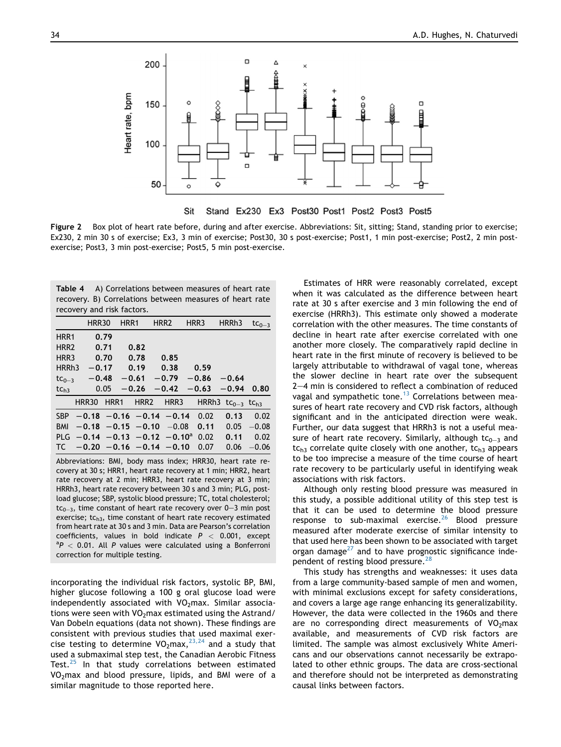<span id="page-5-0"></span>

Figure 2 Box plot of heart rate before, during and after exercise. Abbreviations: Sit, sitting; Stand, standing prior to exercise; Ex230, 2 min 30 s of exercise; Ex3, 3 min of exercise; Post30, 30 s post-exercise; Post1, 1 min post-exercise; Post2, 2 min postexercise; Post3, 3 min post-exercise; Post5, 5 min post-exercise.

| Table 4 A) Correlations between measures of heart rate   |  |  |  |
|----------------------------------------------------------|--|--|--|
| recovery. B) Correlations between measures of heart rate |  |  |  |
| recovery and risk factors.                               |  |  |  |

|                                                                                                                                                                                                                                                                                                                                                                                                                                                                                                                                                                                                                                                                                                                            | <b>HRR30</b>                                 | HRR1             | HRR <sub>2</sub> | HRR3    | HRRh <sub>3</sub>              | $tc_{0-3}$ |  |
|----------------------------------------------------------------------------------------------------------------------------------------------------------------------------------------------------------------------------------------------------------------------------------------------------------------------------------------------------------------------------------------------------------------------------------------------------------------------------------------------------------------------------------------------------------------------------------------------------------------------------------------------------------------------------------------------------------------------------|----------------------------------------------|------------------|------------------|---------|--------------------------------|------------|--|
| HRR1                                                                                                                                                                                                                                                                                                                                                                                                                                                                                                                                                                                                                                                                                                                       | 0.79                                         |                  |                  |         |                                |            |  |
| HRR <sub>2</sub>                                                                                                                                                                                                                                                                                                                                                                                                                                                                                                                                                                                                                                                                                                           | 0.71                                         | 0.82             |                  |         |                                |            |  |
| HRR3                                                                                                                                                                                                                                                                                                                                                                                                                                                                                                                                                                                                                                                                                                                       | 0.70                                         | 0.78             | 0.85             |         |                                |            |  |
| HRRh <sub>3</sub>                                                                                                                                                                                                                                                                                                                                                                                                                                                                                                                                                                                                                                                                                                          | $-0.17$                                      | 0.19             | 0.38             | 0.59    |                                |            |  |
| $tc_{0-3}$                                                                                                                                                                                                                                                                                                                                                                                                                                                                                                                                                                                                                                                                                                                 | $-0.48$                                      | $-0.61$          | $-0.79$          | $-0.86$ | $-0.64$                        |            |  |
| tc <sub>h3</sub>                                                                                                                                                                                                                                                                                                                                                                                                                                                                                                                                                                                                                                                                                                           | 0.05                                         | $-0.26$          | $-0.42$          | $-0.63$ | $-0.94$                        | 0.80       |  |
|                                                                                                                                                                                                                                                                                                                                                                                                                                                                                                                                                                                                                                                                                                                            | <b>HRR30</b><br>HRR1                         | HRR <sub>2</sub> | HRR3             |         | HRRh3 $tc0-3$ tc <sub>h3</sub> |            |  |
| <b>SBP</b>                                                                                                                                                                                                                                                                                                                                                                                                                                                                                                                                                                                                                                                                                                                 | $-0.18$ $-0.16$ $-0.14$ $-0.14$              |                  |                  | 0.02    | 0.13                           | 0.02       |  |
| <b>BMI</b>                                                                                                                                                                                                                                                                                                                                                                                                                                                                                                                                                                                                                                                                                                                 | $-0.18$ $-0.15$ $-0.10$ $-0.08$              |                  |                  | 0.11    | 0.05                           | $-0.08$    |  |
| <b>PLG</b>                                                                                                                                                                                                                                                                                                                                                                                                                                                                                                                                                                                                                                                                                                                 | $-0.14$ $-0.13$ $-0.12$ $-0.10$ <sup>a</sup> |                  |                  | 0.02    | 0.11                           | 0.02       |  |
| TC                                                                                                                                                                                                                                                                                                                                                                                                                                                                                                                                                                                                                                                                                                                         | $-0.20 -0.16 -0.14 -0.10$                    |                  |                  | 0.07    | 0.06                           | $-0.06$    |  |
| Abbreviations: BMI, body mass index; HRR30, heart rate re-<br>covery at 30 s; HRR1, heart rate recovery at 1 min; HRR2, heart<br>rate recovery at 2 min; HRR3, heart rate recovery at 3 min;<br>HRRh3, heart rate recovery between 30 s and 3 min; PLG, post-<br>load glucose; SBP, systolic blood pressure; TC, total cholesterol;<br>$tc0-3$ , time constant of heart rate recovery over 0-3 min post<br>exercise; $tch3$ , time constant of heart rate recovery estimated<br>from heart rate at 30 s and 3 min. Data are Pearson's correlation<br>coefficients, values in bold indicate $P < 0.001$ , except<br>$^{\circ}P$ < 0.01. All P values were calculated using a Bonferroni<br>correction for multiple testing. |                                              |                  |                  |         |                                |            |  |

incorporating the individual risk factors, systolic BP, BMI, higher glucose following a 100 g oral glucose load were independently associated with  $VO<sub>2</sub>max$ . Similar associations were seen with  $VO<sub>2</sub>$ max estimated using the Astrand/ Van Dobeln equations (data not shown). These findings are consistent with previous studies that used maximal exercise testing to determine  $VO<sub>2</sub>max, <sup>23,24</sup>$  $VO<sub>2</sub>max, <sup>23,24</sup>$  $VO<sub>2</sub>max, <sup>23,24</sup>$  and a study that used a submaximal step test, the Canadian Aerobic Fitness Test.<sup>[25](#page-6-0)</sup> In that study correlations between estimated VO2max and blood pressure, lipids, and BMI were of a similar magnitude to those reported here.

Estimates of HRR were reasonably correlated, except when it was calculated as the difference between heart rate at 30 s after exercise and 3 min following the end of exercise (HRRh3). This estimate only showed a moderate correlation with the other measures. The time constants of decline in heart rate after exercise correlated with one another more closely. The comparatively rapid decline in heart rate in the first minute of recovery is believed to be largely attributable to withdrawal of vagal tone, whereas the slower decline in heart rate over the subsequent  $2-4$  min is considered to reflect a combination of reduced vagal and sympathetic tone.<sup>[13](#page-6-0)</sup> Correlations between measures of heart rate recovery and CVD risk factors, although significant and in the anticipated direction were weak. Further, our data suggest that HRRh3 is not a useful measure of heart rate recovery. Similarly, although tc<sub>0-3</sub> and  $tc<sub>h3</sub>$  correlate quite closely with one another,  $tc<sub>h3</sub>$  appears to be too imprecise a measure of the time course of heart rate recovery to be particularly useful in identifying weak associations with risk factors.

Although only resting blood pressure was measured in this study, a possible additional utility of this step test is that it can be used to determine the blood pressure response to sub-maximal exercise. $26$  Blood pressure measured after moderate exercise of similar intensity to that used here has been shown to be associated with target organ damage $^{27}$  $^{27}$  $^{27}$  and to have prognostic significance inde-pendent of resting blood pressure.<sup>[28](#page-6-0)</sup>

This study has strengths and weaknesses: it uses data from a large community-based sample of men and women, with minimal exclusions except for safety considerations, and covers a large age range enhancing its generalizability. However, the data were collected in the 1960s and there are no corresponding direct measurements of  $VO<sub>2</sub>$ max available, and measurements of CVD risk factors are limited. The sample was almost exclusively White Americans and our observations cannot necessarily be extrapolated to other ethnic groups. The data are cross-sectional and therefore should not be interpreted as demonstrating causal links between factors.